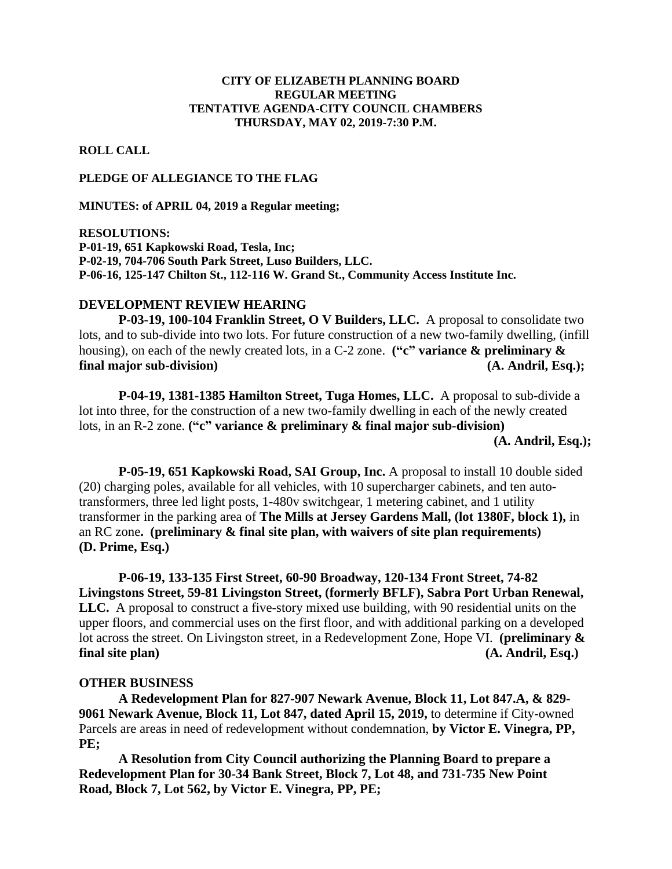## **CITY OF ELIZABETH PLANNING BOARD REGULAR MEETING TENTATIVE AGENDA-CITY COUNCIL CHAMBERS THURSDAY, MAY 02, 2019-7:30 P.M.**

**ROLL CALL**

## **PLEDGE OF ALLEGIANCE TO THE FLAG**

**MINUTES: of APRIL 04, 2019 a Regular meeting;**

**RESOLUTIONS: P-01-19, 651 Kapkowski Road, Tesla, Inc; P-02-19, 704-706 South Park Street, Luso Builders, LLC. P-06-16, 125-147 Chilton St., 112-116 W. Grand St., Community Access Institute Inc.**

## **DEVELOPMENT REVIEW HEARING**

**P-03-19, 100-104 Franklin Street, O V Builders, LLC.** A proposal to consolidate two lots, and to sub-divide into two lots. For future construction of a new two-family dwelling, (infill housing), on each of the newly created lots, in a C-2 zone. **("c" variance & preliminary & final major sub-division) (A. Andril, Esq.);**

**P-04-19, 1381-1385 Hamilton Street, Tuga Homes, LLC.** A proposal to sub-divide a lot into three, for the construction of a new two-family dwelling in each of the newly created lots, in an R-2 zone. **("c" variance & preliminary & final major sub-division)** 

 **(A. Andril, Esq.);**

**P-05-19, 651 Kapkowski Road, SAI Group, Inc.** A proposal to install 10 double sided (20) charging poles, available for all vehicles, with 10 supercharger cabinets, and ten autotransformers, three led light posts, 1-480v switchgear, 1 metering cabinet, and 1 utility transformer in the parking area of **The Mills at Jersey Gardens Mall, (lot 1380F, block 1),** in an RC zone**. (preliminary & final site plan, with waivers of site plan requirements) (D. Prime, Esq.)**

**P-06-19, 133-135 First Street, 60-90 Broadway, 120-134 Front Street, 74-82 Livingstons Street, 59-81 Livingston Street, (formerly BFLF), Sabra Port Urban Renewal, LLC.** A proposal to construct a five-story mixed use building, with 90 residential units on the upper floors, and commercial uses on the first floor, and with additional parking on a developed lot across the street. On Livingston street, in a Redevelopment Zone, Hope VI. **(preliminary & final site plan) (A. Andril, Esq.)**

## **OTHER BUSINESS**

**A Redevelopment Plan for 827-907 Newark Avenue, Block 11, Lot 847.A, & 829- 9061 Newark Avenue, Block 11, Lot 847, dated April 15, 2019,** to determine if City-owned Parcels are areas in need of redevelopment without condemnation, **by Victor E. Vinegra, PP, PE;**

**A Resolution from City Council authorizing the Planning Board to prepare a Redevelopment Plan for 30-34 Bank Street, Block 7, Lot 48, and 731-735 New Point Road, Block 7, Lot 562, by Victor E. Vinegra, PP, PE;**